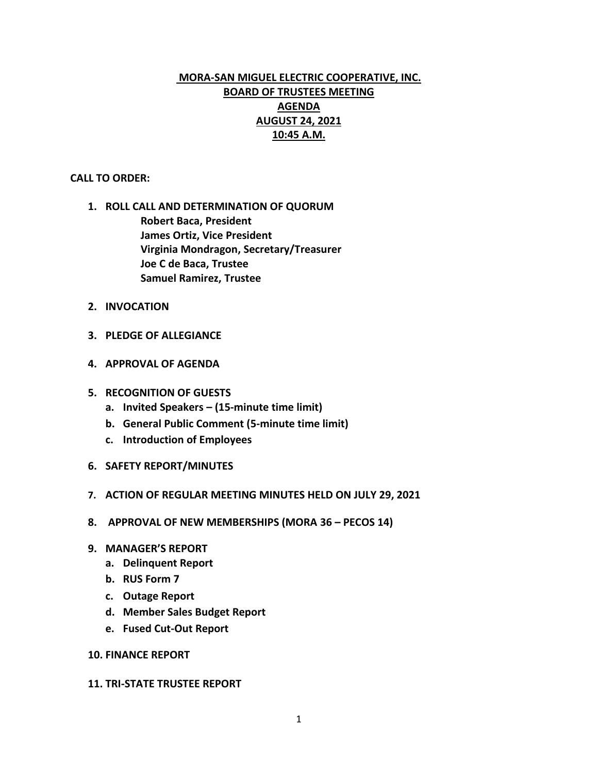# **MORA-SAN MIGUEL ELECTRIC COOPERATIVE, INC. BOARD OF TRUSTEES MEETING AGENDA AUGUST 24, 2021 10:45 A.M.**

### **CALL TO ORDER:**

- **1. ROLL CALL AND DETERMINATION OF QUORUM Robert Baca, President James Ortiz, Vice President Virginia Mondragon, Secretary/Treasurer Joe C de Baca, Trustee Samuel Ramirez, Trustee**
- **2. INVOCATION**
- **3. PLEDGE OF ALLEGIANCE**
- **4. APPROVAL OF AGENDA**
- **5. RECOGNITION OF GUESTS**
	- **a. Invited Speakers – (15-minute time limit)**
	- **b. General Public Comment (5-minute time limit)**
	- **c. Introduction of Employees**
- **6. SAFETY REPORT/MINUTES**
- **7. ACTION OF REGULAR MEETING MINUTES HELD ON JULY 29, 2021**
- **8. APPROVAL OF NEW MEMBERSHIPS (MORA 36 – PECOS 14)**
- **9. MANAGER'S REPORT**
	- **a. Delinquent Report**
	- **b. RUS Form 7**
	- **c. Outage Report**
	- **d. Member Sales Budget Report**
	- **e. Fused Cut-Out Report**

### **10. FINANCE REPORT**

#### **11. TRI-STATE TRUSTEE REPORT**